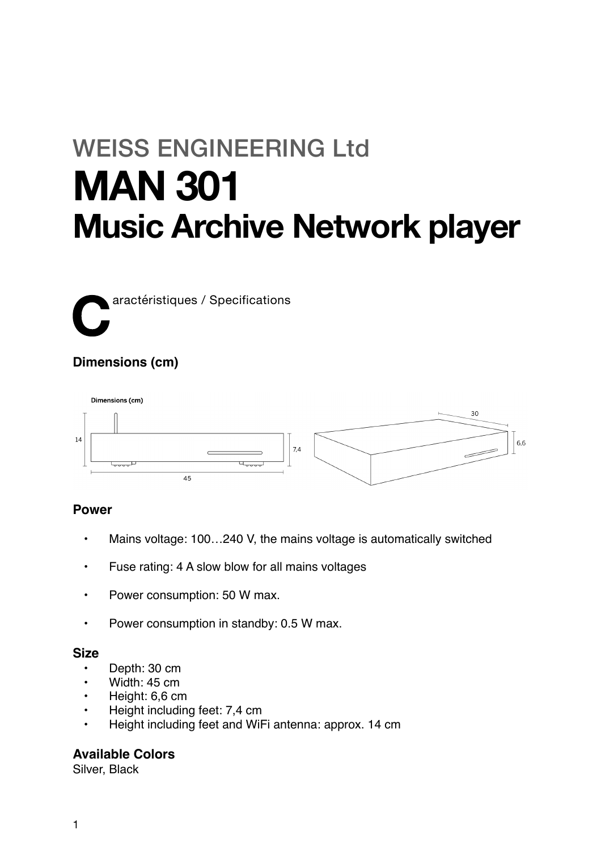# WEISS ENGINEERING Ltd **MAN 301 Music Archive Network player**

**C**aractéristiques / Specifications

# **Dimensions (cm)**



## **Power**

- Mains voltage: 100…240 V, the mains voltage is automatically switched
- Fuse rating: 4 A slow blow for all mains voltages
- Power consumption: 50 W max.
- Power consumption in standby: 0.5 W max.

## **Size**

- Depth: 30 cm
- Width: 45 cm
- Height: 6,6 cm
- Height including feet: 7,4 cm
- Height including feet and WiFi antenna: approx. 14 cm

## **Available Colors**

Silver, Black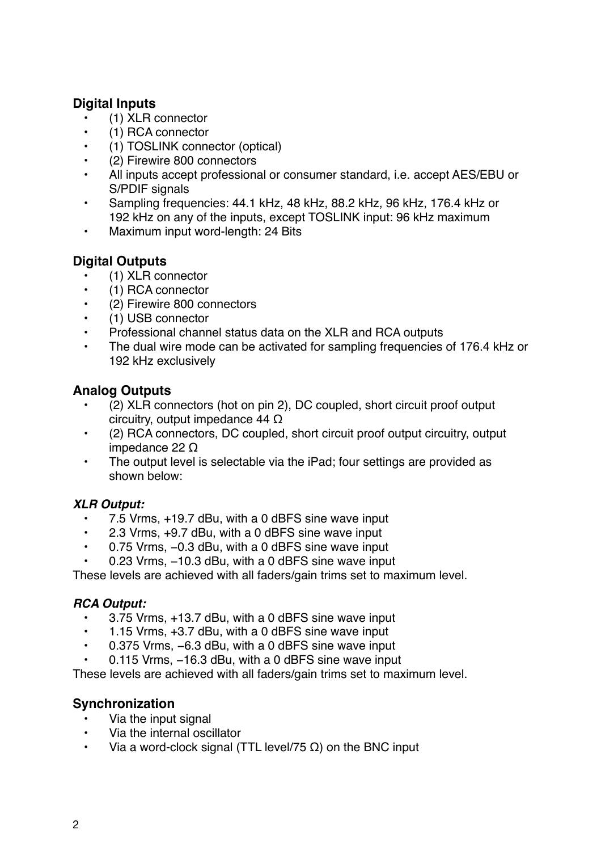# **Digital Inputs**

- (1) XLR connector
- (1) RCA connector
- (1) TOSLINK connector (optical)
- (2) Firewire 800 connectors
- All inputs accept professional or consumer standard, i.e. accept AES/EBU or S/PDIF signals
- Sampling frequencies: 44.1 kHz, 48 kHz, 88.2 kHz, 96 kHz, 176.4 kHz or 192 kHz on any of the inputs, except TOSLINK input: 96 kHz maximum
- Maximum input word-length: 24 Bits

# **Digital Outputs**

- (1) XLR connector
- (1) RCA connector
- (2) Firewire 800 connectors
- (1) USB connector
- Professional channel status data on the XLR and RCA outputs
- The dual wire mode can be activated for sampling frequencies of 176.4 kHz or 192 kHz exclusively

# **Analog Outputs**

- (2) XLR connectors (hot on pin 2), DC coupled, short circuit proof output circuitry, output impedance 44 Ω
- (2) RCA connectors, DC coupled, short circuit proof output circuitry, output impedance 22 Ω
- The output level is selectable via the iPad; four settings are provided as shown below:

# *XLR Output:*

- 7.5 Vrms, +19.7 dBu, with a 0 dBFS sine wave input
- 2.3 Vrms, +9.7 dBu, with a 0 dBFS sine wave input
- 0.75 Vrms, −0.3 dBu, with a 0 dBFS sine wave input
- 0.23 Vrms, −10.3 dBu, with a 0 dBFS sine wave input

These levels are achieved with all faders/gain trims set to maximum level.

## *RCA Output:*

- 3.75 Vrms, +13.7 dBu, with a 0 dBFS sine wave input
- 1.15 Vrms, +3.7 dBu, with a 0 dBFS sine wave input
- 0.375 Vrms, −6.3 dBu, with a 0 dBFS sine wave input
- 0.115 Vrms, −16.3 dBu, with a 0 dBFS sine wave input

These levels are achieved with all faders/gain trims set to maximum level.

# **Synchronization**

- Via the input signal
- Via the internal oscillator
- Via a word-clock signal (TTL level/75 Ω) on the BNC input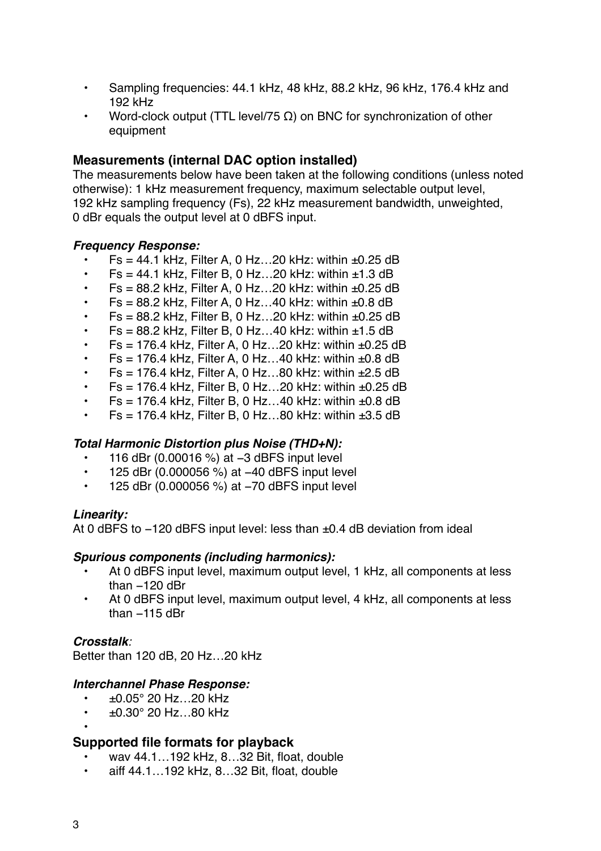- Sampling frequencies: 44.1 kHz, 48 kHz, 88.2 kHz, 96 kHz, 176.4 kHz and 192 kHz
- Word-clock output (TTL level/75  $\Omega$ ) on BNC for synchronization of other equipment

## **Measurements (internal DAC option installed)**

The measurements below have been taken at the following conditions (unless noted otherwise): 1 kHz measurement frequency, maximum selectable output level, 192 kHz sampling frequency (Fs), 22 kHz measurement bandwidth, unweighted, 0 dBr equals the output level at 0 dBFS input.

#### *Frequency Response:*

- $Fs = 44.1$  kHz, Filter A, 0 Hz...20 kHz: within  $±0.25$  dB
- $Fs = 44.1$  kHz, Filter B, 0 Hz...20 kHz: within  $±1.3$  dB
- $Fs = 88.2$  kHz, Filter A, 0 Hz...20 kHz: within  $±0.25$  dB
- $Fs = 88.2$  kHz, Filter A, 0 Hz...40 kHz: within  $±0.8$  dB
- $Fs = 88.2$  kHz, Filter B, 0 Hz...20 kHz: within  $±0.25$  dB
- $Fs = 88.2$  kHz, Filter B, 0 Hz...40 kHz: within  $±1.5$  dB
- $Fs = 176.4$  kHz, Filter A, 0 Hz...20 kHz: within  $±0.25$  dB
- $Fs = 176.4$  kHz, Filter A, 0 Hz...40 kHz: within  $±0.8$  dB
- $Fs = 176.4$  kHz, Filter A, 0 Hz...80 kHz: within  $±2.5$  dB
- $Fs = 176.4$  kHz, Filter B, 0 Hz...20 kHz; within  $±0.25$  dB
- $Fs = 176.4$  kHz, Filter B, 0 Hz...40 kHz: within  $±0.8$  dB
- Fs = 176.4 kHz, Filter B, 0 Hz...80 kHz: within  $\pm 3.5$  dB

## *Total Harmonic Distortion plus Noise (THD+N):*

- 116 dBr (0.00016 %) at −3 dBFS input level
- 125 dBr (0.000056 %) at −40 dBFS input level
- 125 dBr (0.000056 %) at −70 dBFS input level

## *Linearity:*

At 0 dBFS to -120 dBFS input level: less than ±0.4 dB deviation from ideal

## *Spurious components (including harmonics):*

- At 0 dBFS input level, maximum output level, 1 kHz, all components at less than −120 dBr
- At 0 dBFS input level, maximum output level, 4 kHz, all components at less than −115 dBr

## *Crosstalk:*

Better than 120 dB, 20 Hz…20 kHz

## *Interchannel Phase Response:*

- $±0.05°$  20 Hz…20 kHz
- $\cdot$  ±0.30 $^{\circ}$  20 Hz...80 kHz

## **Supported file formats for playback**

- wav 44.1…192 kHz, 8…32 Bit, float, double
- aiff 44.1…192 kHz, 8…32 Bit, float, double

•